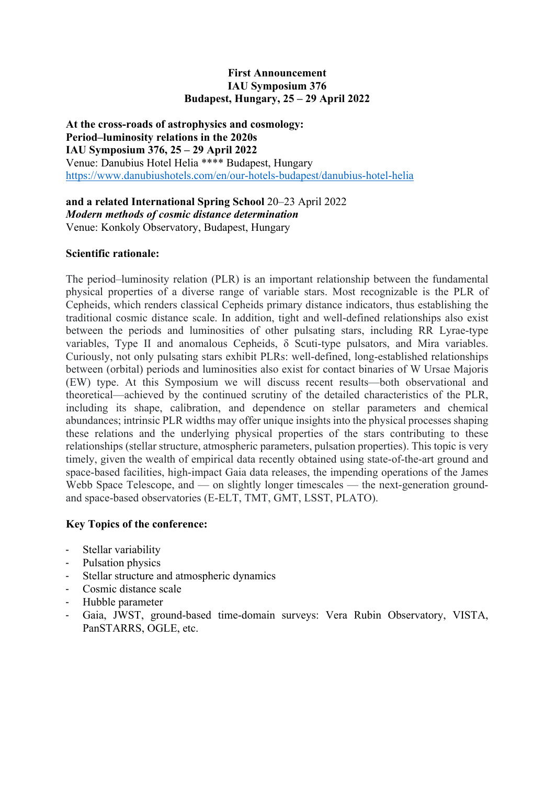## **First Announcement IAU Symposium 376 Budapest, Hungary, 25 – 29 April 2022**

**At the cross-roads of astrophysics and cosmology: Period–luminosity relations in the 2020s IAU Symposium 376, 25 – 29 April 2022**  Venue: Danubius Hotel Helia \*\*\*\* Budapest, Hungary https://www.danubiushotels.com/en/our-hotels-budapest/danubius-hotel-helia

**and a related International Spring School** 20–23 April 2022 *Modern methods of cosmic distance determination* Venue: Konkoly Observatory, Budapest, Hungary

## **Scientific rationale:**

The period–luminosity relation (PLR) is an important relationship between the fundamental physical properties of a diverse range of variable stars. Most recognizable is the PLR of Cepheids, which renders classical Cepheids primary distance indicators, thus establishing the traditional cosmic distance scale. In addition, tight and well-defined relationships also exist between the periods and luminosities of other pulsating stars, including RR Lyrae-type variables, Type II and anomalous Cepheids, δ Scuti-type pulsators, and Mira variables. Curiously, not only pulsating stars exhibit PLRs: well-defined, long-established relationships between (orbital) periods and luminosities also exist for contact binaries of W Ursae Majoris (EW) type. At this Symposium we will discuss recent results—both observational and theoretical—achieved by the continued scrutiny of the detailed characteristics of the PLR, including its shape, calibration, and dependence on stellar parameters and chemical abundances; intrinsic PLR widths may offer unique insights into the physical processes shaping these relations and the underlying physical properties of the stars contributing to these relationships (stellar structure, atmospheric parameters, pulsation properties). This topic is very timely, given the wealth of empirical data recently obtained using state-of-the-art ground and space-based facilities, high-impact Gaia data releases, the impending operations of the James Webb Space Telescope, and — on slightly longer timescales — the next-generation groundand space-based observatories (E-ELT, TMT, GMT, LSST, PLATO).

# **Key Topics of the conference:**

- Stellar variability
- Pulsation physics
- Stellar structure and atmospheric dynamics
- Cosmic distance scale
- Hubble parameter
- Gaia, JWST, ground-based time-domain surveys: Vera Rubin Observatory, VISTA, PanSTARRS, OGLE, etc.